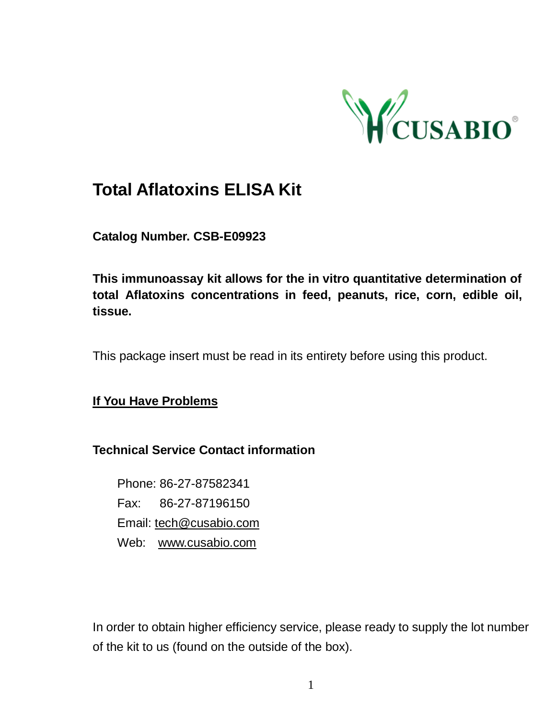

# **Total Aflatoxins ELISA Kit**

**Catalog Number. CSB-E09923**

**This immunoassay kit allows for the in vitro quantitative determination of total Aflatoxins concentrations in feed, peanuts, rice, corn, edible oil, tissue.**

This package insert must be read in its entirety before using this product.

**If You Have Problems**

#### **Technical Service Contact information**

Phone: 86-27-87582341 Fax: 86-27-87196150 Email[: tech@cusabio.com](mailto:tech@cusabio.com) Web: [www.cusabio.com](http://www.cusabio.com/)

In order to obtain higher efficiency service, please ready to supply the lot number of the kit to us (found on the outside of the box).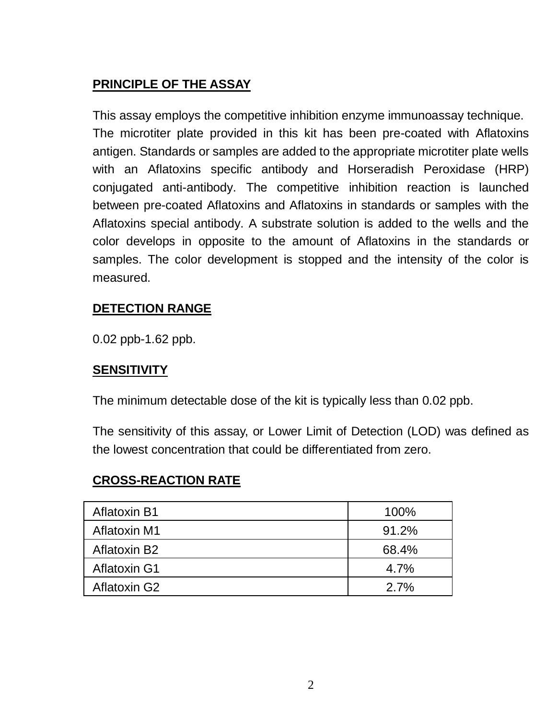# **PRINCIPLE OF THE ASSAY**

This assay employs the competitive inhibition enzyme immunoassay technique. The microtiter plate provided in this kit has been pre-coated with Aflatoxins antigen. Standards or samples are added to the appropriate microtiter plate wells with an Aflatoxins specific antibody and Horseradish Peroxidase (HRP) conjugated anti-antibody. The competitive inhibition reaction is launched between pre-coated Aflatoxins and Aflatoxins in standards or samples with the Aflatoxins special antibody. A substrate solution is added to the wells and the color develops in opposite to the amount of Aflatoxins in the standards or samples. The color development is stopped and the intensity of the color is measured.

# **DETECTION RANGE**

0.02 ppb-1.62 ppb.

#### **SENSITIVITY**

The minimum detectable dose of the kit is typically less than 0.02 ppb.

The sensitivity of this assay, or Lower Limit of Detection (LOD) was defined as the lowest concentration that could be differentiated from zero.

### **CROSS-REACTION RATE**

| Aflatoxin B1 | 100%  |
|--------------|-------|
| Aflatoxin M1 | 91.2% |
| Aflatoxin B2 | 68.4% |
| Aflatoxin G1 | 4.7%  |
| Aflatoxin G2 | 2.7%  |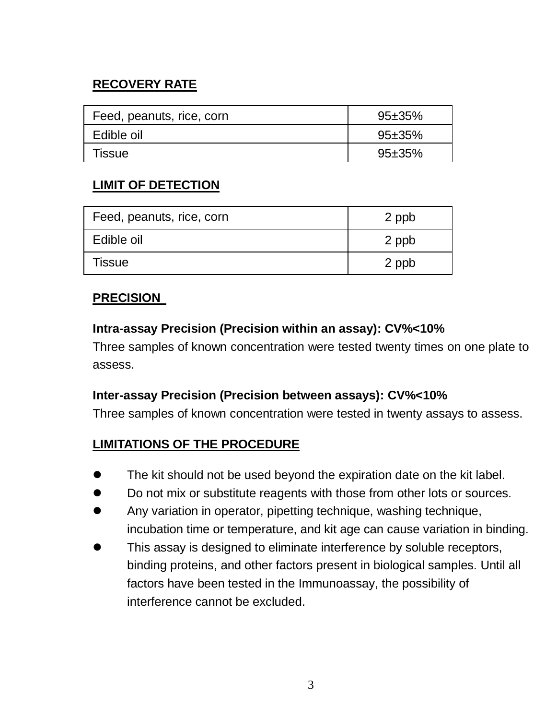# **RECOVERY RATE**

| Feed, peanuts, rice, corn | $95 + 35%$ |
|---------------------------|------------|
| Edible oil                | $95 + 35%$ |
| Tissue                    | $95 + 35%$ |

### **LIMIT OF DETECTION**

| Feed, peanuts, rice, corn | 2 ppb |  |
|---------------------------|-------|--|
| Edible oil                | 2 ppb |  |
| Tissue                    | 2 ppb |  |

#### **PRECISION**

#### **Intra-assay Precision (Precision within an assay): CV%<10%**

Three samples of known concentration were tested twenty times on one plate to assess.

#### **Inter-assay Precision (Precision between assays): CV%<10%**

Three samples of known concentration were tested in twenty assays to assess.

### **LIMITATIONS OF THE PROCEDURE**

- The kit should not be used beyond the expiration date on the kit label.
- Do not mix or substitute reagents with those from other lots or sources.
- Any variation in operator, pipetting technique, washing technique, incubation time or temperature, and kit age can cause variation in binding.
- This assay is designed to eliminate interference by soluble receptors, binding proteins, and other factors present in biological samples. Until all factors have been tested in the Immunoassay, the possibility of interference cannot be excluded.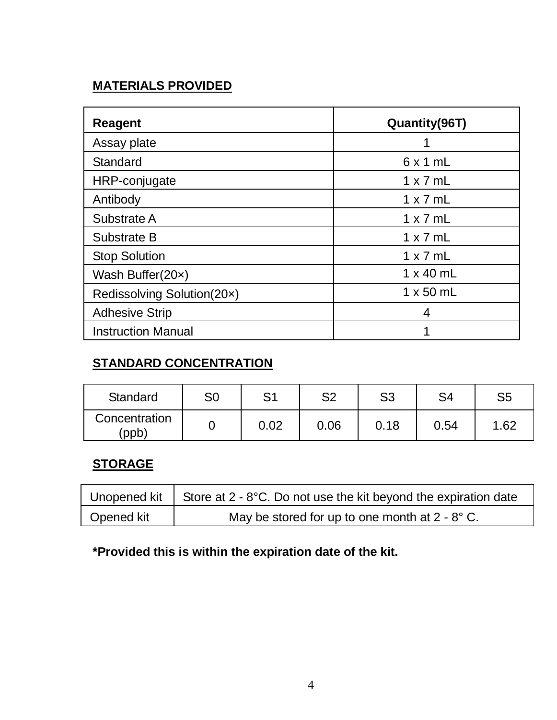# **MATERIALS PROVIDED**

| Reagent                    | Quantity(96T)    |  |  |
|----------------------------|------------------|--|--|
| Assay plate                |                  |  |  |
| Standard                   | 6x1mL            |  |  |
| HRP-conjugate              | $1 \times 7$ mL  |  |  |
| Antibody                   | $1 \times 7$ ml  |  |  |
| Substrate A                | $1 \times 7$ ml  |  |  |
| Substrate B                | $1 \times 7$ ml  |  |  |
| <b>Stop Solution</b>       | $1 \times 7$ ml  |  |  |
| Wash Buffer(20x)           | $1 \times 40$ mL |  |  |
| Redissolving Solution(20x) | $1 \times 50$ mL |  |  |
| <b>Adhesive Strip</b>      | 4                |  |  |
| <b>Instruction Manual</b>  |                  |  |  |

## **STANDARD CONCENTRATION**

| Standard               | S0 | c١   | S2   | S3   | S4   | S5   |
|------------------------|----|------|------|------|------|------|
| Concentration<br>(ppb) |    | 0.02 | 0.06 | 0.18 | 0.54 | 1.62 |

### **STORAGE**

|            | Unopened kit   Store at $2 - 8$ °C. Do not use the kit beyond the expiration date |
|------------|-----------------------------------------------------------------------------------|
| Opened kit | May be stored for up to one month at $2 - 8^\circ$ C.                             |

# **\*Provided this is within the expiration date of the kit.**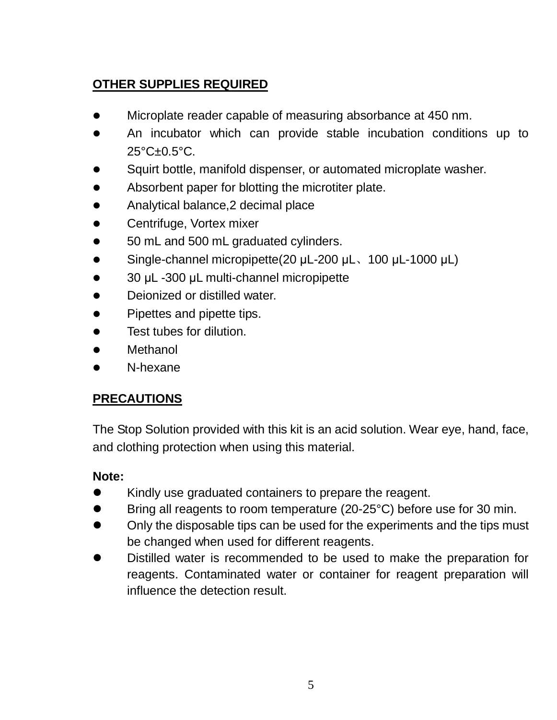# **OTHER SUPPLIES REQUIRED**

- Microplate reader capable of measuring absorbance at 450 nm.
- An incubator which can provide stable incubation conditions up to 25°C±0.5°C.
- Squirt bottle, manifold dispenser, or automated microplate washer.
- Absorbent paper for blotting the microtiter plate.
- Analytical balance, 2 decimal place
- Centrifuge, Vortex mixer
- 50 mL and 500 mL graduated cylinders.
- Single-channel micropipette(20 μL-200 μL、100 μL-1000 μL)
- 30 μL -300 μL multi-channel micropipette
- Deionized or distilled water.
- Pipettes and pipette tips.
- **•** Test tubes for dilution
- Methanol
- N-hexane

# **PRECAUTIONS**

The Stop Solution provided with this kit is an acid solution. Wear eye, hand, face, and clothing protection when using this material.

- Kindly use graduated containers to prepare the reagent.
- Bring all reagents to room temperature (20-25°C) before use for 30 min.
- Only the disposable tips can be used for the experiments and the tips must be changed when used for different reagents.
- Distilled water is recommended to be used to make the preparation for reagents. Contaminated water or container for reagent preparation will influence the detection result.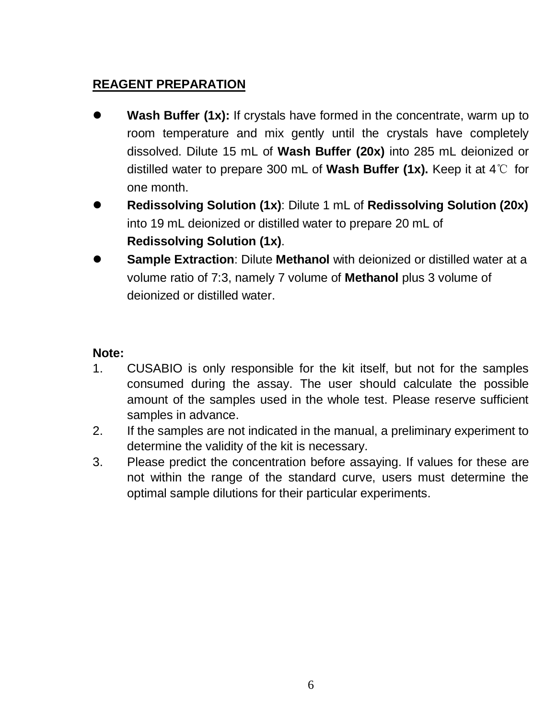# **REAGENT PREPARATION**

- **Wash Buffer (1x):** If crystals have formed in the concentrate, warm up to room temperature and mix gently until the crystals have completely dissolved. Dilute 15 mL of **Wash Buffer (20x)** into 285 mL deionized or distilled water to prepare 300 mL of **Wash Buffer (1x).** Keep it at 4℃ for one month.
- **Redissolving Solution (1x)**: Dilute 1 mL of **Redissolving Solution (20x)** into 19 mL deionized or distilled water to prepare 20 mL of **Redissolving Solution (1x)**.
- **Sample Extraction**: Dilute **Methanol** with deionized or distilled water at a volume ratio of 7:3, namely 7 volume of **Methanol** plus 3 volume of deionized or distilled water.

- 1. CUSABIO is only responsible for the kit itself, but not for the samples consumed during the assay. The user should calculate the possible amount of the samples used in the whole test. Please reserve sufficient samples in advance.
- 2. If the samples are not indicated in the manual, a preliminary experiment to determine the validity of the kit is necessary.
- 3. Please predict the concentration before assaying. If values for these are not within the range of the standard curve, users must determine the optimal sample dilutions for their particular experiments.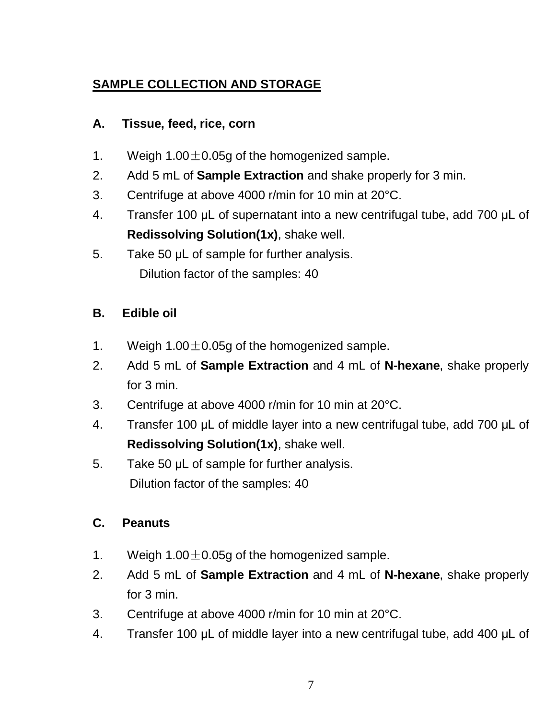# **SAMPLE COLLECTION AND STORAGE**

### **A. Tissue, feed, rice, corn**

- 1. Weigh  $1.00+0.05$ g of the homogenized sample.
- 2. Add 5 mL of **Sample Extraction** and shake properly for 3 min.
- 3. Centrifuge at above 4000 r/min for 10 min at 20°C.
- 4. Transfer 100 μL of supernatant into a new centrifugal tube, add 700 μL of **Redissolving Solution(1x)**, shake well.
- 5. Take 50 μL of sample for further analysis. Dilution factor of the samples: 40

### **B. Edible oil**

- 1. Weigh  $1.00 \pm 0.05$ g of the homogenized sample.
- 2. Add 5 mL of **Sample Extraction** and 4 mL of **N-hexane**, shake properly for 3 min.
- 3. Centrifuge at above 4000 r/min for 10 min at 20°C.
- 4. Transfer 100 μL of middle layer into a new centrifugal tube, add 700 μL of **Redissolving Solution(1x)**, shake well.
- 5. Take 50 μL of sample for further analysis. Dilution factor of the samples: 40

# **C. Peanuts**

- 1. Weigh  $1.00 \pm 0.05$ g of the homogenized sample.
- 2. Add 5 mL of **Sample Extraction** and 4 mL of **N-hexane**, shake properly for 3 min.
- 3. Centrifuge at above 4000 r/min for 10 min at 20°C.
- 4. Transfer 100 μL of middle layer into a new centrifugal tube, add 400 μL of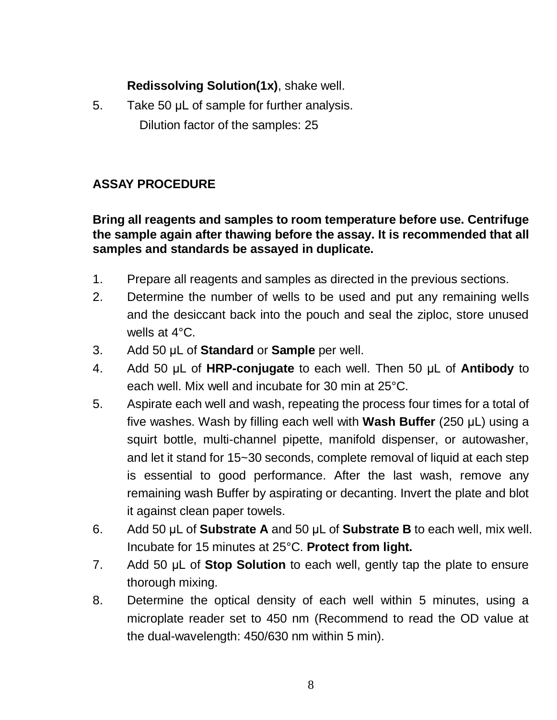#### **Redissolving Solution(1x)**, shake well.

5. Take 50 μL of sample for further analysis. Dilution factor of the samples: 25

### **ASSAY PROCEDURE**

#### **Bring all reagents and samples to room temperature before use. Centrifuge the sample again after thawing before the assay. It is recommended that all samples and standards be assayed in duplicate.**

- 1. Prepare all reagents and samples as directed in the previous sections.
- 2. Determine the number of wells to be used and put any remaining wells and the desiccant back into the pouch and seal the ziploc, store unused wells at 4°C.
- 3. Add 50 μL of **Standard** or **Sample** per well.
- 4. Add 50 μL of **HRP-conjugate** to each well. Then 50 μL of **Antibody** to each well. Mix well and incubate for 30 min at 25°C.
- 5. Aspirate each well and wash, repeating the process four times for a total of five washes. Wash by filling each well with **Wash Buffer** (250 μL) using a squirt bottle, multi-channel pipette, manifold dispenser, or autowasher, and let it stand for 15~30 seconds, complete removal of liquid at each step is essential to good performance. After the last wash, remove any remaining wash Buffer by aspirating or decanting. Invert the plate and blot it against clean paper towels.
- 6. Add 50 μL of **Substrate A** and 50 μL of **Substrate B** to each well, mix well. Incubate for 15 minutes at 25°C. **Protect from light.**
- 7. Add 50 μL of **Stop Solution** to each well, gently tap the plate to ensure thorough mixing.
- 8. Determine the optical density of each well within 5 minutes, using a microplate reader set to 450 nm (Recommend to read the OD value at the dual-wavelength: 450/630 nm within 5 min).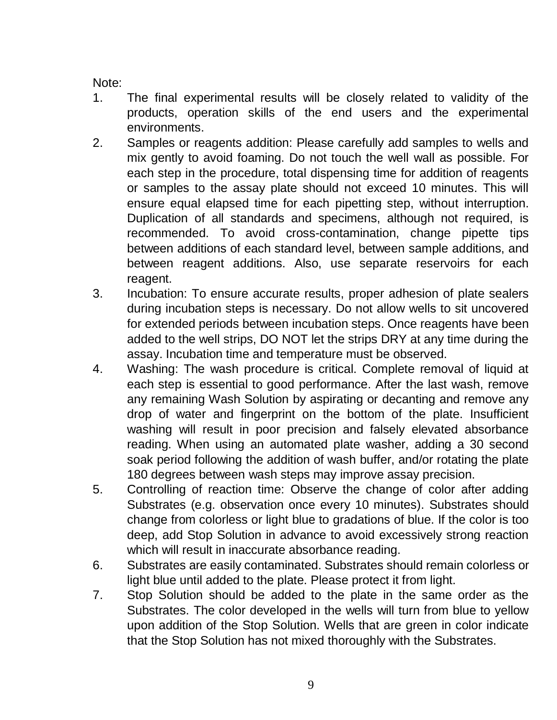- 1. The final experimental results will be closely related to validity of the products, operation skills of the end users and the experimental environments.
- 2. Samples or reagents addition: Please carefully add samples to wells and mix gently to avoid foaming. Do not touch the well wall as possible. For each step in the procedure, total dispensing time for addition of reagents or samples to the assay plate should not exceed 10 minutes. This will ensure equal elapsed time for each pipetting step, without interruption. Duplication of all standards and specimens, although not required, is recommended. To avoid cross-contamination, change pipette tips between additions of each standard level, between sample additions, and between reagent additions. Also, use separate reservoirs for each reagent.
- 3. Incubation: To ensure accurate results, proper adhesion of plate sealers during incubation steps is necessary. Do not allow wells to sit uncovered for extended periods between incubation steps. Once reagents have been added to the well strips, DO NOT let the strips DRY at any time during the assay. Incubation time and temperature must be observed.
- 4. Washing: The wash procedure is critical. Complete removal of liquid at each step is essential to good performance. After the last wash, remove any remaining Wash Solution by aspirating or decanting and remove any drop of water and fingerprint on the bottom of the plate. Insufficient washing will result in poor precision and falsely elevated absorbance reading. When using an automated plate washer, adding a 30 second soak period following the addition of wash buffer, and/or rotating the plate 180 degrees between wash steps may improve assay precision.
- 5. Controlling of reaction time: Observe the change of color after adding Substrates (e.g. observation once every 10 minutes). Substrates should change from colorless or light blue to gradations of blue. If the color is too deep, add Stop Solution in advance to avoid excessively strong reaction which will result in inaccurate absorbance reading.
- 6. Substrates are easily contaminated. Substrates should remain colorless or light blue until added to the plate. Please protect it from light.
- 7. Stop Solution should be added to the plate in the same order as the Substrates. The color developed in the wells will turn from blue to yellow upon addition of the Stop Solution. Wells that are green in color indicate that the Stop Solution has not mixed thoroughly with the Substrates.